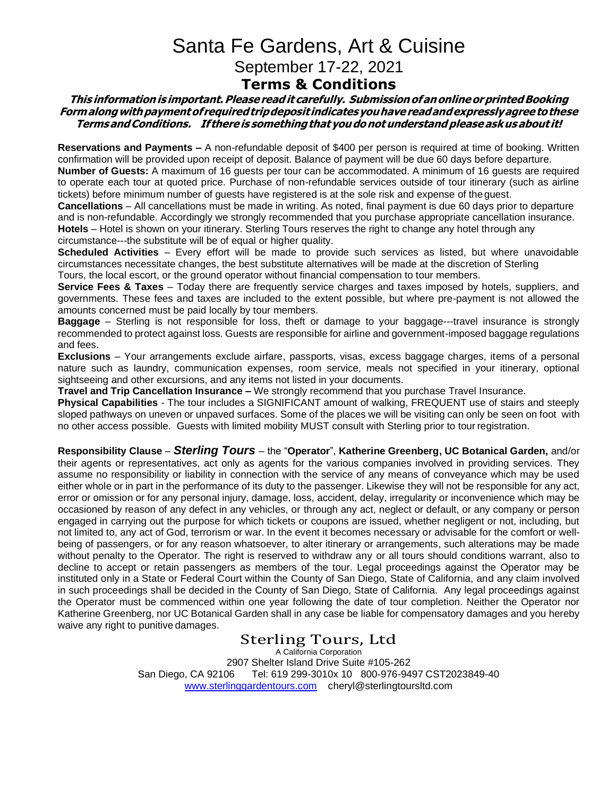# Santa Fe Gardens, Art & Cuisine September 17-22, 2021

### **Terms & Conditions**

#### **This informationis important.Pleasereadit carefully. SubmissionofanonlineorprintedBooking Formalongwithpaymentof requiredtripdeposit indicatesyouhavereadandexpresslyagreetothese TermsandConditions. If thereis somethingthat youdonotunderstand pleaseaskusabout it!**

**Reservations and Payments –** A non-refundable deposit of \$400 per person is required at time of booking. Written confirmation will be provided upon receipt of deposit. Balance of payment will be due 60 days before departure.

**Number of Guests:** A maximum of 16 guests per tour can be accommodated. A minimum of 16 guests are required to operate each tour at quoted price. Purchase of non-refundable services outside of tour itinerary (such as airline tickets) before minimum number of guests have registered is at the sole risk and expense of theguest.

**Cancellations** – All cancellations must be made in writing. As noted, final payment is due 60 days prior to departure and is non-refundable. Accordingly we strongly recommended that you purchase appropriate cancellation insurance. **Hotels** – Hotel is shown on your itinerary. Sterling Tours reserves the right to change any hotel through any circumstance---the substitute will be of equal or higher quality.

**Scheduled Activities** – Every effort will be made to provide such services as listed, but where unavoidable circumstances necessitate changes, the best substitute alternatives will be made at the discretion of Sterling Tours, the local escort, or the ground operator without financial compensation to tour members.

**Service Fees & Taxes** – Today there are frequently service charges and taxes imposed by hotels, suppliers, and governments. These fees and taxes are included to the extent possible, but where pre-payment is not allowed the amounts concerned must be paid locally by tour members.

**Baggage** – Sterling is not responsible for loss, theft or damage to your baggage---travel insurance is strongly recommended to protect against loss. Guests are responsible for airline and government-imposed baggage regulations and fees.

**Exclusions** – Your arrangements exclude airfare, passports, visas, excess baggage charges, items of a personal nature such as laundry, communication expenses, room service, meals not specified in your itinerary, optional sightseeing and other excursions, and any items not listed in your documents.

**Travel and Trip Cancellation Insurance –** We strongly recommend that you purchase Travel Insurance.

**Physical Capabilities** - The tour includes a SIGNIFICANT amount of walking, FREQUENT use of stairs and steeply sloped pathways on uneven or unpaved surfaces. Some of the places we will be visiting can only be seen on foot with no other access possible. Guests with limited mobility MUST consult with Sterling prior to tour registration.

**Responsibility Clause** – *Sterling Tours* – the "**Operator**", **Katherine Greenberg, UC Botanical Garden,** and/or their agents or representatives, act only as agents for the various companies involved in providing services. They assume no responsibility or liability in connection with the service of any means of conveyance which may be used either whole or in part in the performance of its duty to the passenger. Likewise they will not be responsible for any act, error or omission or for any personal injury, damage, loss, accident, delay, irregularity or inconvenience which may be occasioned by reason of any defect in any vehicles, or through any act, neglect or default, or any company or person engaged in carrying out the purpose for which tickets or coupons are issued, whether negligent or not, including, but not limited to, any act of God, terrorism or war. In the event it becomes necessary or advisable for the comfort or wellbeing of passengers, or for any reason whatsoever, to alter itinerary or arrangements, such alterations may be made without penalty to the Operator. The right is reserved to withdraw any or all tours should conditions warrant, also to decline to accept or retain passengers as members of the tour. Legal proceedings against the Operator may be instituted only in a State or Federal Court within the County of San Diego, State of California, and any claim involved in such proceedings shall be decided in the County of San Diego, State of California. Any legal proceedings against the Operator must be commenced within one year following the date of tour completion. Neither the Operator nor Katherine Greenberg, nor UC Botanical Garden shall in any case be liable for compensatory damages and you hereby waive any right to punitive damages.

### Sterling Tours, Ltd

A California Corporation 2907 Shelter Island Drive Suite #105-262 San Diego, CA 92106 Tel: 619 299-3010x 10 800-976-9497 CST2023849-40 www.sterlinggardentours.com cheryl@sterlingtoursltd.com